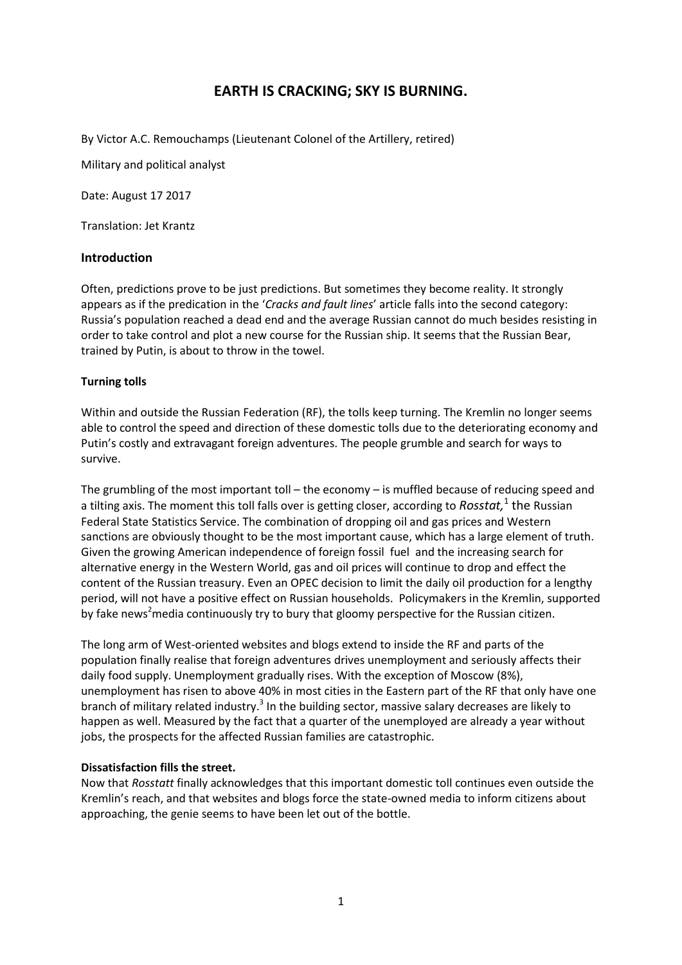# **EARTH IS CRACKING; SKY IS BURNING.**

By Victor A.C. Remouchamps (Lieutenant Colonel of the Artillery, retired)

Military and political analyst

Date: August 17 2017

Translation: Jet Krantz

## **Introduction**

Often, predictions prove to be just predictions. But sometimes they become reality. It strongly appears as if the predication in the '*Cracks and fault lines*' article falls into the second category: Russia's population reached a dead end and the average Russian cannot do much besides resisting in order to take control and plot a new course for the Russian ship. It seems that the Russian Bear, trained by Putin, is about to throw in the towel.

## **Turning tolls**

Within and outside the Russian Federation (RF), the tolls keep turning. The Kremlin no longer seems able to control the speed and direction of these domestic tolls due to the deteriorating economy and Putin's costly and extravagant foreign adventures. The people grumble and search for ways to survive.

The grumbling of the most important toll – the economy – is muffled because of reducing speed and a tilting axis. The moment this toll falls over is getting closer, according to *Rosstat,*<sup>1</sup> the Russian Federal State Statistics Service. The combination of dropping oil and gas prices and Western sanctions are obviously thought to be the most important cause, which has a large element of truth. Given the growing American independence of foreign fossil fuel and the increasing search for alternative energy in the Western World, gas and oil prices will continue to drop and effect the content of the Russian treasury. Even an OPEC decision to limit the daily oil production for a lengthy period, will not have a positive effect on Russian households. Policymakers in the Kremlin, supported by fake news<sup>2</sup>media continuously try to bury that gloomy perspective for the Russian citizen.

The long arm of West-oriented websites and blogs extend to inside the RF and parts of the population finally realise that foreign adventures drives unemployment and seriously affects their daily food supply. Unemployment gradually rises. With the exception of Moscow (8%), unemployment has risen to above 40% in most cities in the Eastern part of the RF that only have one branch of military related industry.<sup>3</sup> In the building sector, massive salary decreases are likely to happen as well. Measured by the fact that a quarter of the unemployed are already a year without jobs, the prospects for the affected Russian families are catastrophic.

#### **Dissatisfaction fills the street.**

Now that *Rosstatt* finally acknowledges that this important domestic toll continues even outside the Kremlin's reach, and that websites and blogs force the state-owned media to inform citizens about approaching, the genie seems to have been let out of the bottle.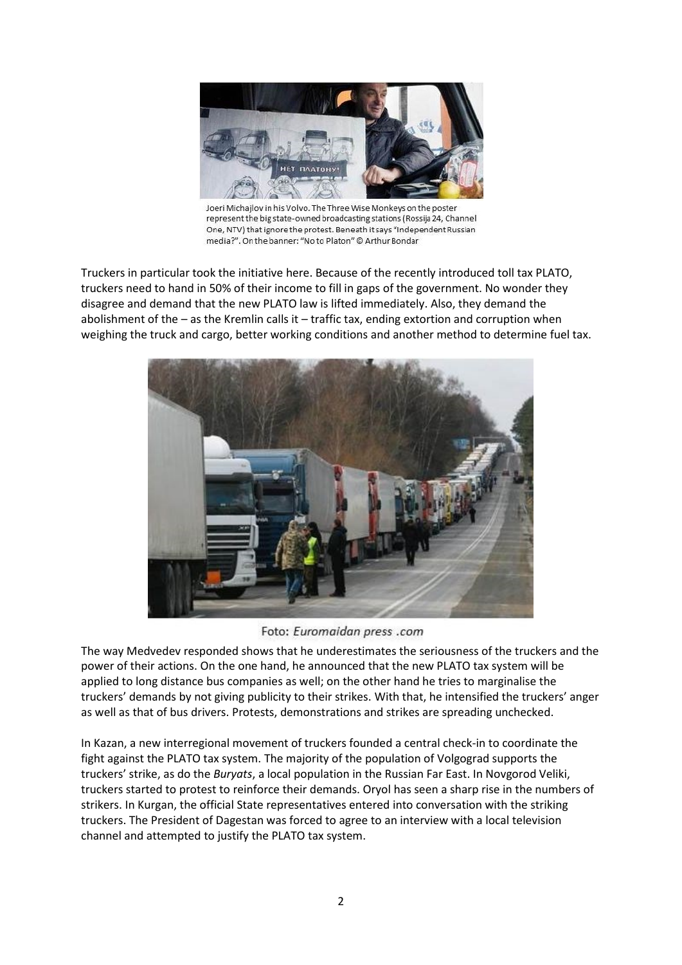

Joeri Michailov in his Volvo. The Three Wise Monkeys on the poster represent the big state-owned broadcasting stations (Rossija 24, Channel One, NTV) that ignore the protest. Beneath it says "Independent Russian media?". On the banner: "No to Platon" @ Arthur Bondar

Truckers in particular took the initiative here. Because of the recently introduced toll tax PLATO, truckers need to hand in 50% of their income to fill in gaps of the government. No wonder they disagree and demand that the new PLATO law is lifted immediately. Also, they demand the abolishment of the – as the Kremlin calls it – traffic tax, ending extortion and corruption when weighing the truck and cargo, better working conditions and another method to determine fuel tax.



Foto: Euromaidan press .com

The way Medvedev responded shows that he underestimates the seriousness of the truckers and the power of their actions. On the one hand, he announced that the new PLATO tax system will be applied to long distance bus companies as well; on the other hand he tries to marginalise the truckers' demands by not giving publicity to their strikes. With that, he intensified the truckers' anger as well as that of bus drivers. Protests, demonstrations and strikes are spreading unchecked.

In Kazan, a new interregional movement of truckers founded a central check-in to coordinate the fight against the PLATO tax system. The majority of the population of Volgograd supports the truckers' strike, as do the *Buryats*, a local population in the Russian Far East. In Novgorod Veliki, truckers started to protest to reinforce their demands. Oryol has seen a sharp rise in the numbers of strikers. In Kurgan, the official State representatives entered into conversation with the striking truckers. The President of Dagestan was forced to agree to an interview with a local television channel and attempted to justify the PLATO tax system.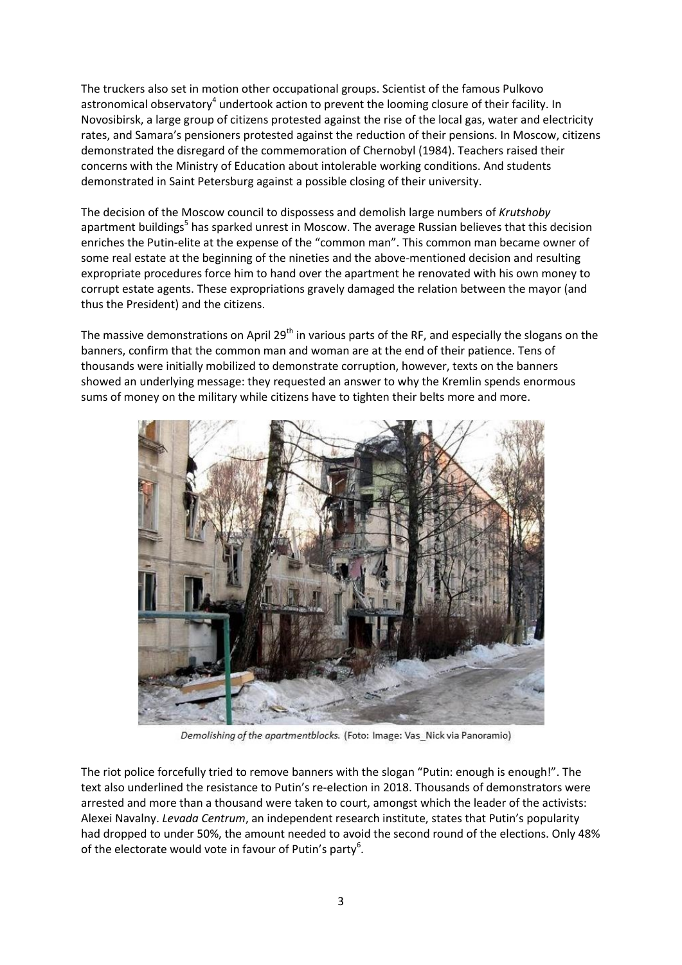The truckers also set in motion other occupational groups. Scientist of the famous Pulkovo astronomical observatory<sup>4</sup> undertook action to prevent the looming closure of their facility. In Novosibirsk, a large group of citizens protested against the rise of the local gas, water and electricity rates, and Samara's pensioners protested against the reduction of their pensions. In Moscow, citizens demonstrated the disregard of the commemoration of Chernobyl (1984). Teachers raised their concerns with the Ministry of Education about intolerable working conditions. And students demonstrated in Saint Petersburg against a possible closing of their university.

The decision of the Moscow council to dispossess and demolish large numbers of *Krutshoby* apartment buildings<sup>5</sup> has sparked unrest in Moscow. The average Russian believes that this decision enriches the Putin-elite at the expense of the "common man". This common man became owner of some real estate at the beginning of the nineties and the above-mentioned decision and resulting expropriate procedures force him to hand over the apartment he renovated with his own money to corrupt estate agents. These expropriations gravely damaged the relation between the mayor (and thus the President) and the citizens.

The massive demonstrations on April 29<sup>th</sup> in various parts of the RF, and especially the slogans on the banners, confirm that the common man and woman are at the end of their patience. Tens of thousands were initially mobilized to demonstrate corruption, however, texts on the banners showed an underlying message: they requested an answer to why the Kremlin spends enormous sums of money on the military while citizens have to tighten their belts more and more.



Demolishing of the apartmentblocks. (Foto: Image: Vas Nick via Panoramio)

The riot police forcefully tried to remove banners with the slogan "Putin: enough is enough!". The text also underlined the resistance to Putin's re-election in 2018. Thousands of demonstrators were arrested and more than a thousand were taken to court, amongst which the leader of the activists: Alexei Navalny. *Levada Centrum*, an independent research institute, states that Putin's popularity had dropped to under 50%, the amount needed to avoid the second round of the elections. Only 48% of the electorate would vote in favour of Putin's party<sup>6</sup>.